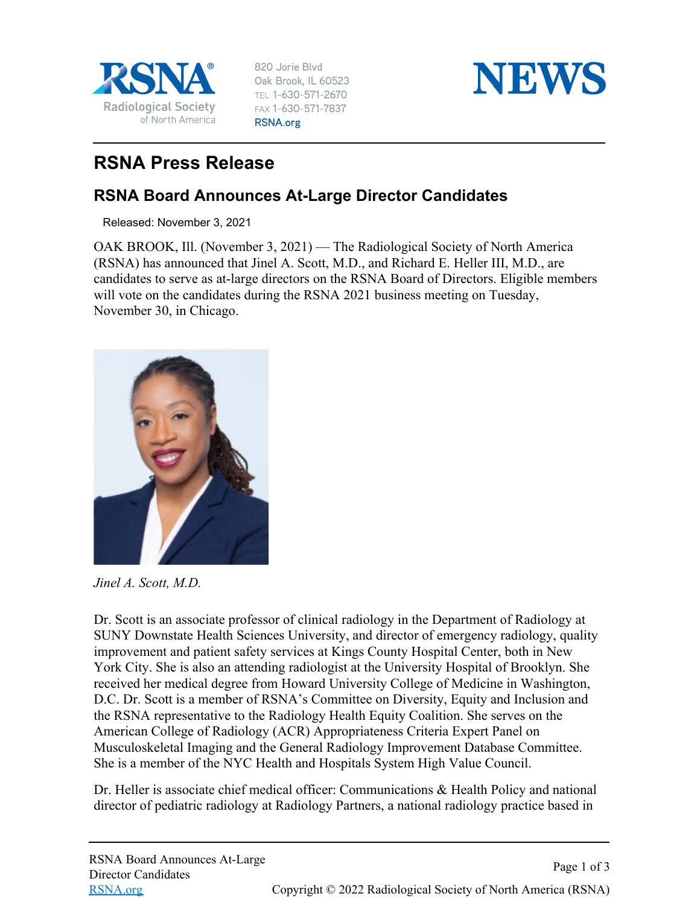

820 Jorie Blvd Oak Brook, IL 60523 TEL 1-630-571-2670 FAX 1-630-571-7837 RSNA.org



## **RSNA Press Release**

## **RSNA Board Announces At-Large Director Candidates**

Released: November 3, 2021

OAK BROOK, Ill. (November 3, 2021) — The Radiological Society of North America (RSNA) has announced that Jinel A. Scott, M.D., and Richard E. Heller III, M.D., are candidates to serve as at-large directors on the RSNA Board of Directors. Eligible members will vote on the candidates during the RSNA 2021 business meeting on Tuesday, November 30, in Chicago.



*Jinel A. Scott, M.D.*

Dr. Scott is an associate professor of clinical radiology in the Department of Radiology at SUNY Downstate Health Sciences University, and director of emergency radiology, quality improvement and patient safety services at Kings County Hospital Center, both in New York City. She is also an attending radiologist at the University Hospital of Brooklyn. She received her medical degree from Howard University College of Medicine in Washington, D.C. Dr. Scott is a member of RSNA's Committee on Diversity, Equity and Inclusion and the RSNA representative to the Radiology Health Equity Coalition. She serves on the American College of Radiology (ACR) Appropriateness Criteria Expert Panel on Musculoskeletal Imaging and the General Radiology Improvement Database Committee. She is a member of the NYC Health and Hospitals System High Value Council.

Dr. Heller is associate chief medical officer: Communications & Health Policy and national director of pediatric radiology at Radiology Partners, a national radiology practice based in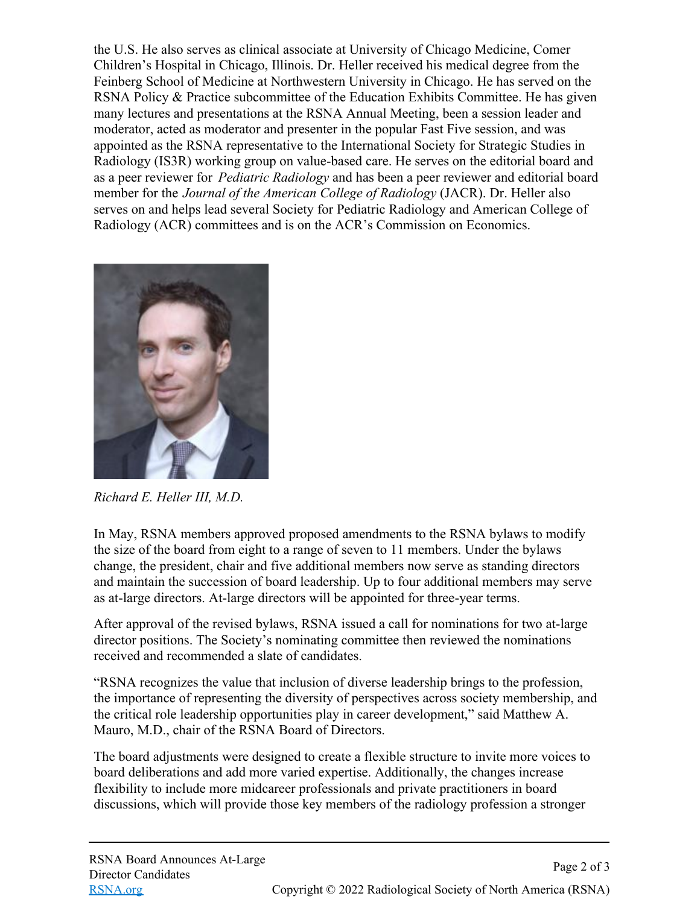the U.S. He also serves as clinical associate at University of Chicago Medicine, Comer Children's Hospital in Chicago, Illinois. Dr. Heller received his medical degree from the Feinberg School of Medicine at Northwestern University in Chicago. He has served on the RSNA Policy & Practice subcommittee of the Education Exhibits Committee. He has given many lectures and presentations at the RSNA Annual Meeting, been a session leader and moderator, acted as moderator and presenter in the popular Fast Five session, and was appointed as the RSNA representative to the International Society for Strategic Studies in Radiology (IS3R) working group on value-based care. He serves on the editorial board and as a peer reviewer for *Pediatric Radiology* and has been a peer reviewer and editorial board member for the *Journal of the American College of Radiology* (JACR). Dr. Heller also serves on and helps lead several Society for Pediatric Radiology and American College of Radiology (ACR) committees and is on the ACR's Commission on Economics.



*Richard E. Heller III, M.D.*

In May, RSNA members approved proposed amendments to the RSNA bylaws to modify the size of the board from eight to a range of seven to 11 members. Under the bylaws change, the president, chair and five additional members now serve as standing directors and maintain the succession of board leadership. Up to four additional members may serve as at-large directors. At-large directors will be appointed for three-year terms.

After approval of the revised bylaws, RSNA issued a call for nominations for two at-large director positions. The Society's nominating committee then reviewed the nominations received and recommended a slate of candidates.

"RSNA recognizes the value that inclusion of diverse leadership brings to the profession, the importance of representing the diversity of perspectives across society membership, and the critical role leadership opportunities play in career development," said Matthew A. Mauro, M.D., chair of the RSNA Board of Directors.

The board adjustments were designed to create a flexible structure to invite more voices to board deliberations and add more varied expertise. Additionally, the changes increase flexibility to include more midcareer professionals and private practitioners in board discussions, which will provide those key members of the radiology profession a stronger